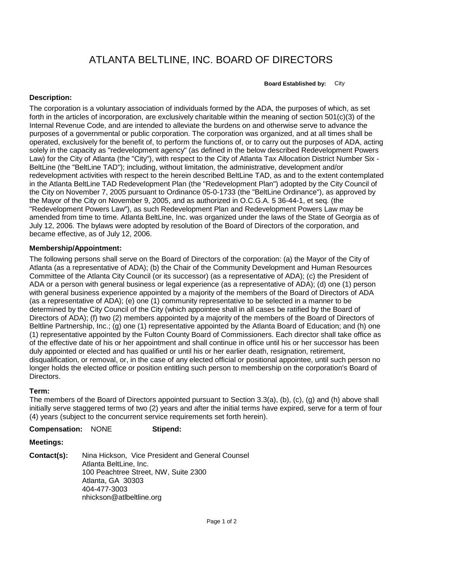# ATLANTA BELTLINE, INC. BOARD OF DIRECTORS

**Board Established by:** City

## **Description:**

The corporation is a voluntary association of individuals formed by the ADA, the purposes of which, as set forth in the articles of incorporation, are exclusively charitable within the meaning of section 501(c)(3) of the Internal Revenue Code, and are intended to alleviate the burdens on and otherwise serve to advance the purposes of a governmental or public corporation. The corporation was organized, and at all times shall be operated, exclusively for the benefit of, to perform the functions of, or to carry out the purposes of ADA, acting solely in the capacity as "redevelopment agency" (as defined in the below described Redevelopment Powers Law) for the City of Atlanta (the "City"), with respect to the City of Atlanta Tax Allocation District Number Six - BeltLine (the "BeltLine TAD"); including, without limitation, the administrative, development and/or redevelopment activities with respect to the herein described BeltLine TAD, as and to the extent contemplated in the Atlanta BeltLine TAD Redevelopment Plan (the "Redevelopment Plan") adopted by the City Council of the City on November 7, 2005 pursuant to Ordinance 05-0-1733 (the "BeltLine Ordinance"), as approved by the Mayor of the City on November 9, 2005, and as authorized in O.C.G.A. 5 36-44-1, et seq. (the "Redevelopment Powers Law"), as such Redevelopment Plan and Redevelopment Powers Law may be amended from time to time. Atlanta BeltLine, Inc. was organized under the laws of the State of Georgia as of July 12, 2006. The bylaws were adopted by resolution of the Board of Directors of the corporation, and became effective, as of July 12, 2006.

# **Membership/Appointment:**

The following persons shall serve on the Board of Directors of the corporation: (a) the Mayor of the City of Atlanta (as a representative of ADA); (b) the Chair of the Community Development and Human Resources Committee of the Atlanta City Council (or its successor) (as a representative of ADA); (c) the President of ADA or a person with general business or legal experience (as a representative of ADA); (d) one (1) person with general business experience appointed by a majority of the members of the Board of Directors of ADA (as a representative of ADA); (e) one (1) community representative to be selected in a manner to be determined by the City Council of the City (which appointee shall in all cases be ratified by the Board of Directors of ADA); (f) two (2) members appointed by a majority of the members of the Board of Directors of Beltline Partnership, Inc.; (g) one (1) representative appointed by the Atlanta Board of Education; and (h) one (1) representative appointed by the Fulton County Board of Commissioners. Each director shall take office as of the effective date of his or her appointment and shall continue in office until his or her successor has been duly appointed or elected and has qualified or until his or her earlier death, resignation, retirement, disqualification, or removal, or, in the case of any elected official or positional appointee, until such person no longer holds the elected office or position entitling such person to membership on the corporation's Board of Directors.

### **Term:**

The members of the Board of Directors appointed pursuant to Section 3.3(a), (b), (c), (g) and (h) above shall initially serve staggered terms of two (2) years and after the initial terms have expired, serve for a term of four (4) years (subject to the concurrent service requirements set forth herein).

#### **Compensation:** NONE **Stipend:**

### **Meetings:**

**Contact(s):** Nina Hickson, Vice President and General Counsel Atlanta BeltLine, Inc. 100 Peachtree Street, NW, Suite 2300 Atlanta, GA 30303 404-477-3003 nhickson@atlbeltline.org